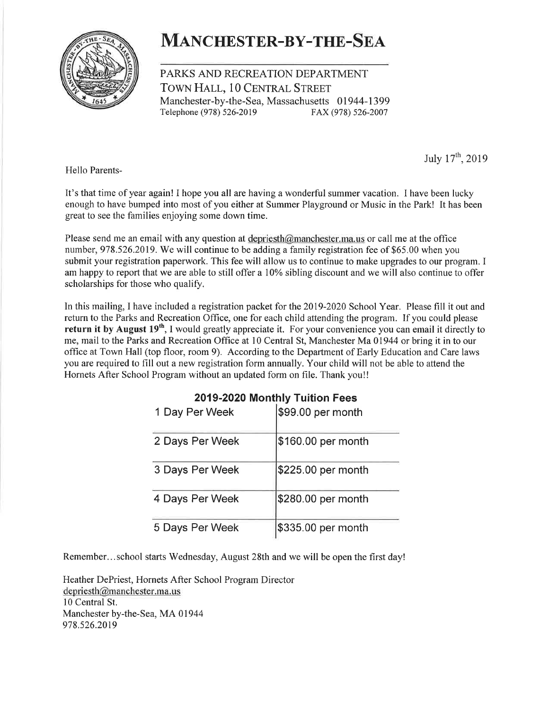

# MANCHESTER-BY-THE-SEA

PARKS AND RECREATION DEPARTMENT TOWN HALL, 10 CENTRAL STREET Manchester-by-the-Sea, Massachusetts 01944-1399 Telephone (978) s26-2019 FAX (978) 526-2007

July  $17^{th}$ , 2019

Hello Parents-

It's that time of year again! I hope you all are having a wonderful summer vacation. I have been lucky enough to have bumped into most of you either at Summer Playground or Music in the Park! It has been great to see the families enjoying some down time.

Please send me an email with any question at depriesth@manchester.ma.us or call me at the office number, 978.526.2019. We will continue to be adding a family registration fee of \$65.00 when you submit your registration paperwork. This fee will allow us to continue to make upgrades to our program. I am happy to report that we are able to still offer a l0% sibling discount and we will also continue to offer scholarships for those who qualify.

In this mailing, I have included a registration packet for the 2019-2020 School Year. Please fill it out and return to the Parks and Recreation Office, one for each child attending the program. If you could please return it by August 19<sup>th</sup>, I would greatly appreciate it. For your convenience you can email it directly to me, mail to the Parks and Recreation Office at l0 Central St, Manchester Ma 01944 or bring it in to our office at Town Hall (top floor, room 9). According to the Department of Early Education and Care laws you are required to fill out a new registration form annually. Your child will not be able to attend the Hornets After School Program without an updated form on file. Thank you!!

| <br>.           |                     |  |  |
|-----------------|---------------------|--|--|
| 1 Day Per Week  | \$99.00 per month   |  |  |
| 2 Days Per Week | \$160.00 per month  |  |  |
| 3 Days Per Week | \$225.00 per month  |  |  |
| 4 Days Per Week | $$280.00$ per month |  |  |
| 5 Days Per Week | \$335.00 per month  |  |  |

## 2019-2020 Monthly Tuition Fees

Remember...school starts Wednesday, August 28th and we will be open the first day!

Heather DePriest, Hornets After School Program Director depriesth@manchester.ma. us 10 Central St. Manchester by-the-Sea, MA 01944 978.526.20T9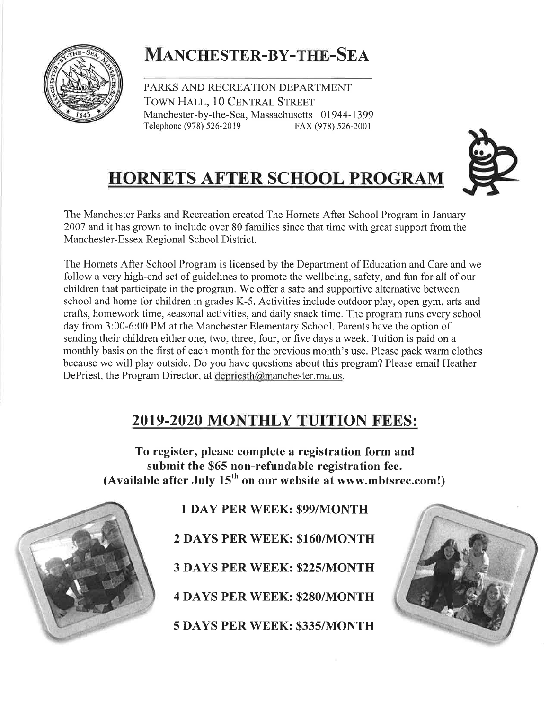

# MANCHESTER-BY-THE-SEA

PARKS AND RECREATION DEPARTMENT TOWN HALL, 10 CENTRAL STREET Manchester-by-the-Sea, Massachusetts 01944-1399 Telephone (978) 526-2019 FAX (978) 526-2001





The Hornets After School Program is licensed by the Department of Education and Care and we follow a very high-end set of guidelines to promote the wellbeing, safety, and fun for all of our children that participate in the program. We offer a safe and supportive alternative between school and home for children in grades K-5. Activities include outdoor play, open gym, arts and crafts, homework time, seasonal activities, and daily snack time. The program runs every school day from 3:00-6:00 PM at the Manchester Elementary School. Parents have the option of sending their children either one, two, three, four, or five days a week. Tuition is paid on a monthly basis on the first of each month for the previous month's use. Please pack warm clothes because we will play outside. Do you have questions about this program? Please email Heather DePriest, the Program Director, at depriesth@manchester.ma.us.

# 2019-2020 MONTHLY TUITION FEES:

To register, please complete a registration form and submit the \$65 non-refundable registration fee. (Available after July  $15<sup>th</sup>$  on our website at www.mbtsrec.com!)



1 DAY PER WEEK: \$99/MONTH

2 DAYS PER WEEK: \$160/MONTH

3 DAYS PER WEEK: \$225|MONTH

4 DAYS PER WEEK: \$280/MONTH

5 DAYS PER WEEK: \$335/MONTH

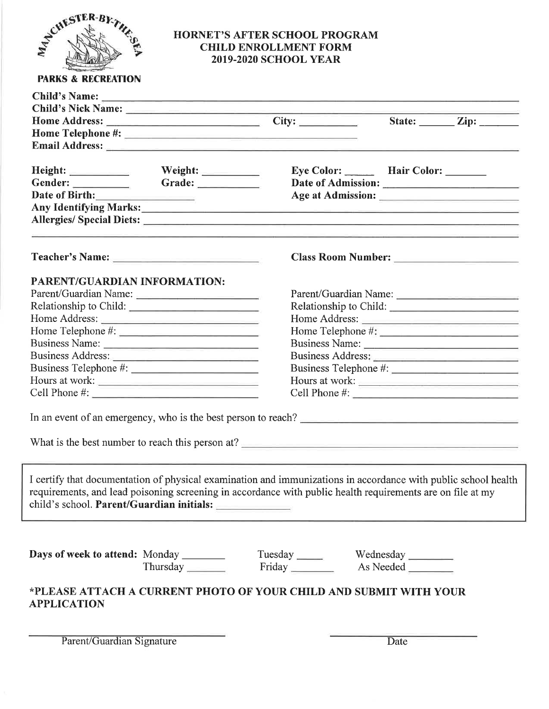

### HORNET'S AFTER SCHOOL PROGRAM CHILD ENROLLMENT FORM 2OI9.2O2O SCHOOL YEAR

|                                        |                                                | Child's Nick Name: Child's Nick Name:                                                                                                                                                                                          |                        |                               |
|----------------------------------------|------------------------------------------------|--------------------------------------------------------------------------------------------------------------------------------------------------------------------------------------------------------------------------------|------------------------|-------------------------------|
|                                        |                                                |                                                                                                                                                                                                                                |                        | State: $\angle$ Zip: $\angle$ |
|                                        |                                                |                                                                                                                                                                                                                                |                        |                               |
|                                        |                                                | Email Address: 2008 and 2008 and 2008 and 2008 and 2008 and 2008 and 2008 and 2008 and 2008 and 2008 and 2008                                                                                                                  |                        |                               |
|                                        |                                                | Eye Color: Hair Color: ______                                                                                                                                                                                                  |                        |                               |
| Gender:                                | Grade:                                         |                                                                                                                                                                                                                                |                        |                               |
| Date of Birth:                         |                                                |                                                                                                                                                                                                                                |                        |                               |
|                                        |                                                | Any Identifying Marks: 1988 and 2008 and 2008 and 2008 and 2008 and 2008 and 2008 and 2008 and 2008 and 2008 and 2008 and 2008 and 2008 and 2008 and 2008 and 2008 and 2008 and 2008 and 2008 and 2008 and 2008 and 2008 and 2 |                        |                               |
|                                        |                                                |                                                                                                                                                                                                                                |                        |                               |
|                                        |                                                |                                                                                                                                                                                                                                |                        |                               |
| PARENT/GUARDIAN INFORMATION:           |                                                |                                                                                                                                                                                                                                |                        |                               |
|                                        | Parent/Guardian Name:<br>Parent/Guardian Name: |                                                                                                                                                                                                                                |                        |                               |
|                                        | Relationship to Child:                         |                                                                                                                                                                                                                                | Relationship to Child: |                               |
|                                        | Home Address:                                  |                                                                                                                                                                                                                                | Home Address:          |                               |
|                                        |                                                |                                                                                                                                                                                                                                |                        |                               |
|                                        | Business Name:                                 |                                                                                                                                                                                                                                | Business Name:         |                               |
|                                        |                                                |                                                                                                                                                                                                                                | Business Address:      |                               |
|                                        |                                                |                                                                                                                                                                                                                                |                        |                               |
|                                        | Hours at work:                                 |                                                                                                                                                                                                                                | Hours at work:         |                               |
|                                        |                                                |                                                                                                                                                                                                                                | Cell Phone #:          |                               |
|                                        |                                                | In an event of an emergency, who is the best person to reach?                                                                                                                                                                  |                        |                               |
|                                        |                                                | What is the best number to reach this person at?                                                                                                                                                                               |                        |                               |
|                                        | child's school. Parent/Guardian initials:      | I certify that documentation of physical examination and immunizations in accordance with public school health<br>requirements, and lead poisoning screening in accordance with public health requirements are on file at my   |                        |                               |
| Days of week to attend: Monday _______ | Thursday                                       | Tuesday Wednesday                                                                                                                                                                                                              | As Needed              |                               |
| <b>APPLICATION</b>                     |                                                | *PLEASE ATTACH A CURRENT PHOTO OF YOUR CHILD AND SUBMIT WITH YOUR                                                                                                                                                              |                        |                               |
|                                        |                                                |                                                                                                                                                                                                                                |                        |                               |

Parent/Guardian Signature Date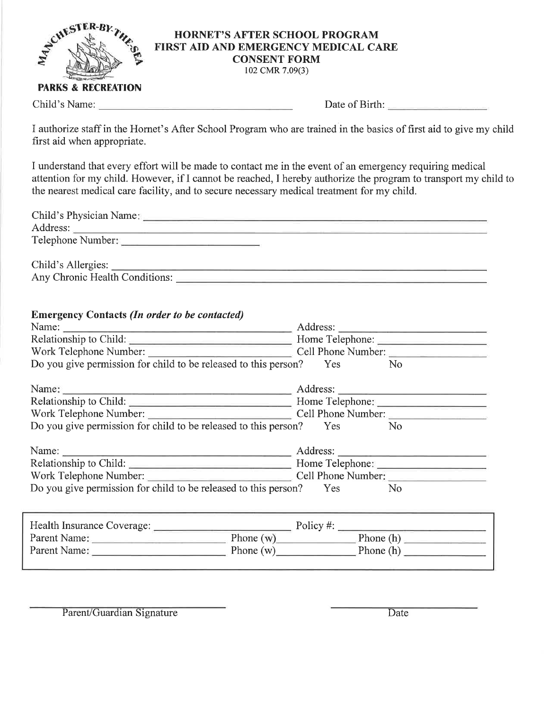

#### HORNET'S AFTER SCHOOL PROGRAM FIRST AID AND EMERGENCY MEDICAL CARE CONSENT FORM

102 cMR 7.09(3)

#### **PARKS & RECREATION**

Child's Name: Date of Birth:

I authorize staff in the Hornet's After School Program who are trained in the basics of first aid to give my child first aid when appropriate.

I understand that every effort will be made to contact me in the event of an emergency requiring medical attention for my child. However, if I cannot be reached, I hereby authorize the program to transport my child to the nearest medical care facility, and to secure necessary medical treatment for my child.

| <b>Emergency Contacts (In order to be contacted)</b>                                                                                                                                                                                          |                                                                  |
|-----------------------------------------------------------------------------------------------------------------------------------------------------------------------------------------------------------------------------------------------|------------------------------------------------------------------|
| Name: <u>Name:</u> Address: <u>Name:</u> Address: <u>Name:</u> Address: Name: Name: Name: Name: Name: Name: Name: Name: Name: Name: Name: Name: Name: Name: Name: Name: Name: Name: Name: Name: Name: Name: Name: Name: Name: Name: Name: Nam |                                                                  |
|                                                                                                                                                                                                                                               |                                                                  |
| Work Telephone Number: Cell Phone Number:                                                                                                                                                                                                     |                                                                  |
| Do you give permission for child to be released to this person? Yes No                                                                                                                                                                        |                                                                  |
|                                                                                                                                                                                                                                               |                                                                  |
|                                                                                                                                                                                                                                               |                                                                  |
|                                                                                                                                                                                                                                               |                                                                  |
| Work Telephone Number: Cell Phone Number:                                                                                                                                                                                                     |                                                                  |
| Do you give permission for child to be released to this person? Yes No                                                                                                                                                                        |                                                                  |
| Name: <u>Name:</u> Address: <u>Name:</u> Address: Name: 2008.                                                                                                                                                                                 |                                                                  |
|                                                                                                                                                                                                                                               |                                                                  |
| Work Telephone Number: Cell Phone Number:                                                                                                                                                                                                     |                                                                  |
| Do you give permission for child to be released to this person? Yes No                                                                                                                                                                        |                                                                  |
|                                                                                                                                                                                                                                               |                                                                  |
| $\mathbf{H}$ of $\mathbf{H}$ . In the same of $\mathbf{G}$ is a set of $\mathbf{G}$                                                                                                                                                           | $\mathbf{D}$ $\mathbf{I}$ $\mathbf{L}$ $\mathbf{L}$ $\mathbf{L}$ |

| Health Insurance Coverage: | Policy #:   |           |  |
|----------------------------|-------------|-----------|--|
| Parent Name:               | Phone $(w)$ | Phone (h) |  |
| Parent Name:               | Phone $(w)$ | Phone (h) |  |
|                            |             |           |  |

Parent/Guardian Signature Date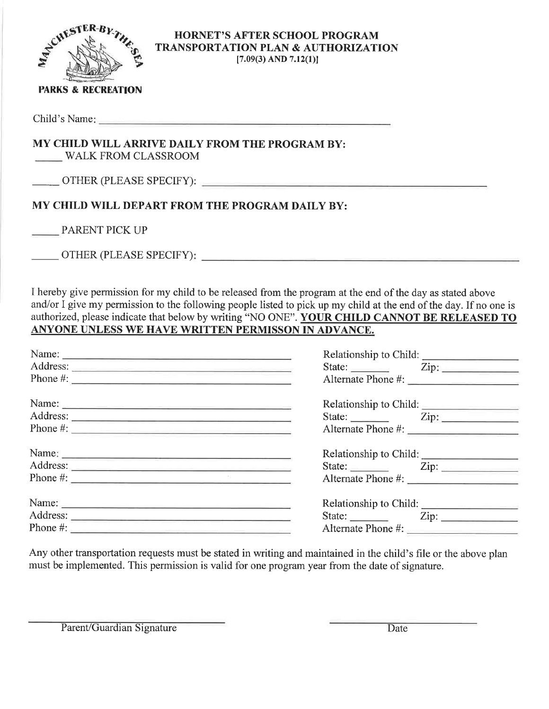

#### HORNET'S AFTER SCHOOL PROGRAM TRANSPORTATION PLAN & AUTHORIZATION  $[7.09(3)$  AND  $7.12(1)]$

### PARKS & RECREATION

Child's Name

# MY CHILD WILL ARRIVE DAILY FROM THE PROGRAM BY:

WALK FROM CLASSROOM

OTHER (PLEASE SPECIFY):

## MY CHILD WILL DEPART FROM THE PROGRAM DAILY BY:

PARENT PICK UP

OTHER (PLEASE SPECIFY)

I hereby give permission for my child to be released from the program at the end of the day as stated above and/or I give my permission to the following people listed to pick up my child at the end of the day. If no one is authorized, please indicate that below by writing "NO ONE". YOUR CHILD CANNOT BE RELEASED TO ANYONE UNLESS WE HAVE WRITTEN PERMISSON IN ADVANCE.

| Name:<br>Address:<br>Phone #:                                                                                                                                                                                                                                                                                               | Relationship to Child:<br>Alternate Phone #:                            | State: <u>Zip:</u> Zip: |
|-----------------------------------------------------------------------------------------------------------------------------------------------------------------------------------------------------------------------------------------------------------------------------------------------------------------------------|-------------------------------------------------------------------------|-------------------------|
| Name:<br>Phone #: $\frac{1}{2}$ $\frac{1}{2}$ $\frac{1}{2}$ $\frac{1}{2}$ $\frac{1}{2}$ $\frac{1}{2}$ $\frac{1}{2}$ $\frac{1}{2}$ $\frac{1}{2}$ $\frac{1}{2}$ $\frac{1}{2}$ $\frac{1}{2}$ $\frac{1}{2}$ $\frac{1}{2}$ $\frac{1}{2}$ $\frac{1}{2}$ $\frac{1}{2}$ $\frac{1}{2}$ $\frac{1}{2}$ $\frac{1}{2}$ $\frac{1}{2}$ $\$ | Relationship to Child:                                                  | State: <u>Zip:</u> Zip: |
| Name:<br>Address:<br>Phone $\#$ :                                                                                                                                                                                                                                                                                           | State: <u>Zip:</u> Zip:<br>Alternate Phone #:                           |                         |
| Phone #:                                                                                                                                                                                                                                                                                                                    | Relationship to Child:<br>State: <u>Zip:</u> Zip:<br>Alternate Phone #: |                         |

Any other transportation requests must be stated in writing and maintained in the child's file or the above plan must be implemented. This permission is valid for one program year from the date of signature.

Parent/Guardian Signature Date